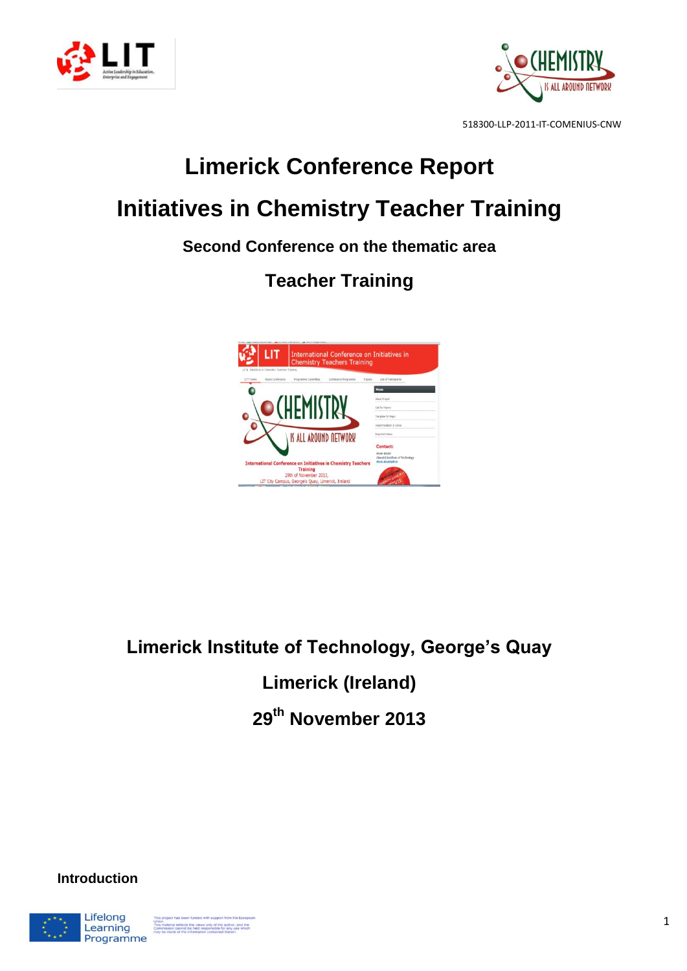



## **Limerick Conference Report Initiatives in Chemistry Teacher Training**

### **Second Conference on the thematic area**

## **Teacher Training**



# **Limerick Institute of Technology, George's Quay Limerick (Ireland)**

**29th November 2013**

**Introduction**

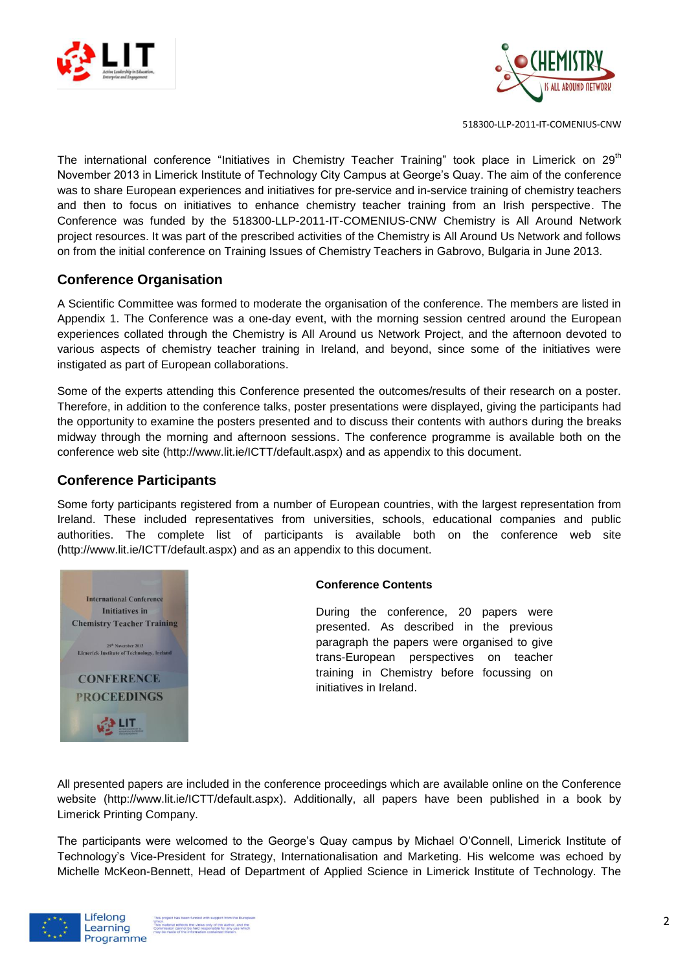



The international conference "Initiatives in Chemistry Teacher Training" took place in Limerick on  $29<sup>th</sup>$ November 2013 in Limerick Institute of Technology City Campus at George's Quay. The aim of the conference was to share European experiences and initiatives for pre-service and in-service training of chemistry teachers and then to focus on initiatives to enhance chemistry teacher training from an Irish perspective. The Conference was funded by the 518300-LLP-2011-IT-COMENIUS-CNW Chemistry is All Around Network project resources. It was part of the prescribed activities of the Chemistry is All Around Us Network and follows on from the initial conference on Training Issues of Chemistry Teachers in Gabrovo, Bulgaria in June 2013.

#### **Conference Organisation**

A Scientific Committee was formed to moderate the organisation of the conference. The members are listed in Appendix 1. The Conference was a one-day event, with the morning session centred around the European experiences collated through the Chemistry is All Around us Network Project, and the afternoon devoted to various aspects of chemistry teacher training in Ireland, and beyond, since some of the initiatives were instigated as part of European collaborations.

Some of the experts attending this Conference presented the outcomes/results of their research on a poster. Therefore, in addition to the conference talks, poster presentations were displayed, giving the participants had the opportunity to examine the posters presented and to discuss their contents with authors during the breaks midway through the morning and afternoon sessions. The conference programme is available both on the conference web site (http://www.lit.ie/ICTT/default.aspx) and as appendix to this document.

#### **Conference Participants**

Some forty participants registered from a number of European countries, with the largest representation from Ireland. These included representatives from universities, schools, educational companies and public authorities. The complete list of participants is available both on the conference web site (http://www.lit.ie/ICTT/default.aspx) and as an appendix to this document.



#### **Conference Contents**

During the conference, 20 papers were presented. As described in the previous paragraph the papers were organised to give trans-European perspectives on teacher training in Chemistry before focussing on initiatives in Ireland.

All presented papers are included in the conference proceedings which are available online on the Conference website (http://www.lit.ie/ICTT/default.aspx). Additionally, all papers have been published in a book by Limerick Printing Company.

The participants were welcomed to the George's Quay campus by Michael O'Connell, Limerick Institute of Technology's Vice-President for Strategy, Internationalisation and Marketing. His welcome was echoed by Michelle McKeon-Bennett, Head of Department of Applied Science in Limerick Institute of Technology. The

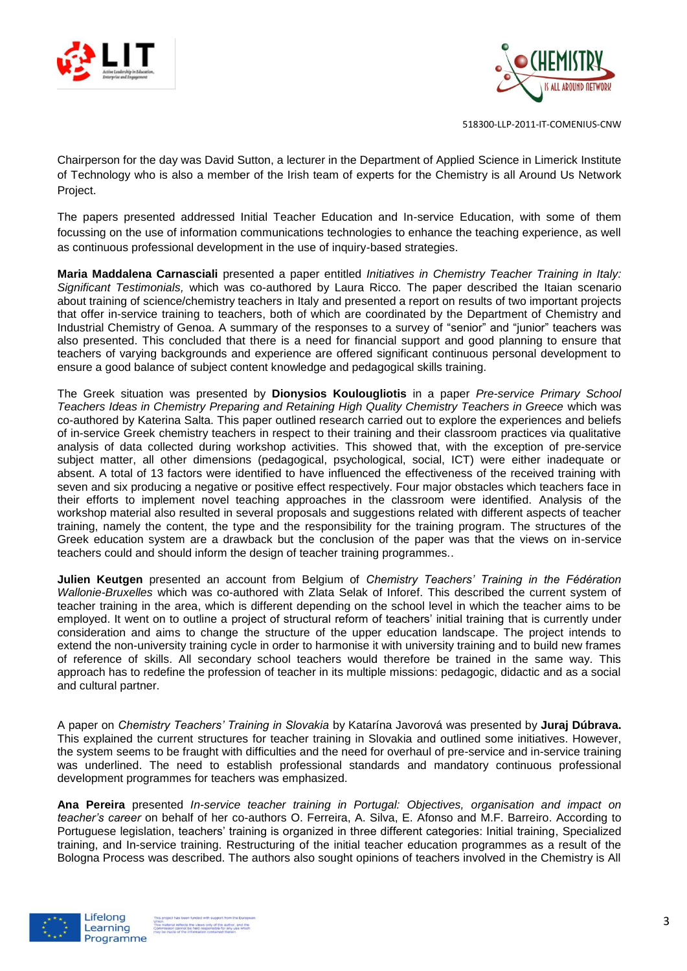



Chairperson for the day was David Sutton, a lecturer in the Department of Applied Science in Limerick Institute of Technology who is also a member of the Irish team of experts for the Chemistry is all Around Us Network Project.

The papers presented addressed Initial Teacher Education and In-service Education, with some of them focussing on the use of information communications technologies to enhance the teaching experience, as well as continuous professional development in the use of inquiry-based strategies.

**Maria Maddalena Carnasciali** presented a paper entitled *Initiatives in Chemistry Teacher Training in Italy: Significant Testimonials,* which was co-authored by Laura Ricco*.* The paper described the Itaian scenario about training of science/chemistry teachers in Italy and presented a report on results of two important projects that offer in-service training to teachers, both of which are coordinated by the Department of Chemistry and Industrial Chemistry of Genoa. A summary of the responses to a survey of "senior" and "junior" teachers was also presented. This concluded that there is a need for financial support and good planning to ensure that teachers of varying backgrounds and experience are offered significant continuous personal development to ensure a good balance of subject content knowledge and pedagogical skills training.

The Greek situation was presented by **Dionysios Koulougliotis** in a paper *Pre-service Primary School Teachers Ideas in Chemistry Preparing and Retaining High Quality Chemistry Teachers in Greece* which was co-authored by Katerina Salta. This paper outlined research carried out to explore the experiences and beliefs of in-service Greek chemistry teachers in respect to their training and their classroom practices via qualitative analysis of data collected during workshop activities. This showed that, with the exception of pre-service subject matter, all other dimensions (pedagogical, psychological, social, ICT) were either inadequate or absent. A total of 13 factors were identified to have influenced the effectiveness of the received training with seven and six producing a negative or positive effect respectively. Four major obstacles which teachers face in their efforts to implement novel teaching approaches in the classroom were identified. Analysis of the workshop material also resulted in several proposals and suggestions related with different aspects of teacher training, namely the content, the type and the responsibility for the training program. The structures of the Greek education system are a drawback but the conclusion of the paper was that the views on in-service teachers could and should inform the design of teacher training programmes..

**Julien Keutgen** presented an account from Belgium of *Chemistry Teachers' Training in the Fédération Wallonie-Bruxelles* which was co-authored with Zlata Selak of Inforef. This described the current system of teacher training in the area, which is different depending on the school level in which the teacher aims to be employed. It went on to outline a project of structural reform of teachers' initial training that is currently under consideration and aims to change the structure of the upper education landscape. The project intends to extend the non-university training cycle in order to harmonise it with university training and to build new frames of reference of skills. All secondary school teachers would therefore be trained in the same way. This approach has to redefine the profession of teacher in its multiple missions: pedagogic, didactic and as a social and cultural partner.

A paper on *Chemistry Teachers' Training in Slovakia* by Katarína Javorová was presented by **Juraj Dúbrava.** This explained the current structures for teacher training in Slovakia and outlined some initiatives. However, the system seems to be fraught with difficulties and the need for overhaul of pre-service and in-service training was underlined. The need to establish professional standards and mandatory continuous professional development programmes for teachers was emphasized.

**Ana Pereira** presented *In-service teacher training in Portugal: Objectives, organisation and impact on teacher's career* on behalf of her co-authors O. Ferreira, A. Silva, E. Afonso and M.F. Barreiro. According to Portuguese legislation, teachers' training is organized in three different categories: Initial training, Specialized training, and In-service training. Restructuring of the initial teacher education programmes as a result of the Bologna Process was described. The authors also sought opinions of teachers involved in the Chemistry is All

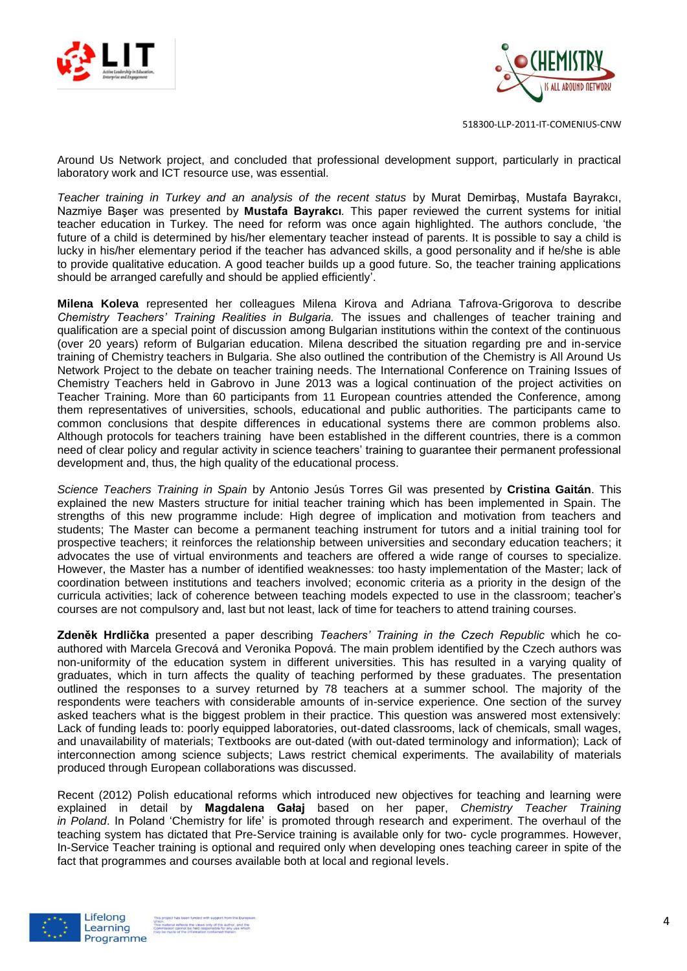



Around Us Network project, and concluded that professional development support, particularly in practical laboratory work and ICT resource use, was essential.

*Teacher training in Turkey and an analysis of the recent status* by Murat Demirbaş, Mustafa Bayrakcı, Nazmiye Başer was presented by **Mustafa Bayrakcı***.* This paper reviewed the current systems for initial teacher education in Turkey. The need for reform was once again highlighted. The authors conclude, 'the future of a child is determined by his/her elementary teacher instead of parents. It is possible to say a child is lucky in his/her elementary period if the teacher has advanced skills, a good personality and if he/she is able to provide qualitative education. A good teacher builds up a good future. So, the teacher training applications should be arranged carefully and should be applied efficiently'.

**Milena Koleva** represented her colleagues Milena Kirova and Adriana Tafrova-Grigorova to describe *Chemistry Teachers' Training Realities in Bulgaria.* The issues and challenges of teacher training and qualification are a special point of discussion among Bulgarian institutions within the context of the continuous (over 20 years) reform of Bulgarian education. Milena described the situation regarding pre and in-service training of Chemistry teachers in Bulgaria. She also outlined the contribution of the Chemistry is All Around Us Network Project to the debate on teacher training needs. The International Conference on Training Issues of Chemistry Teachers held in Gabrovo in June 2013 was a logical continuation of the project activities on Teacher Training. More than 60 participants from 11 European countries attended the Conference, among them representatives of universities, schools, educational and public authorities. The participants came to common conclusions that despite differences in educational systems there are common problems also. Although protocols for teachers training have been established in the different countries, there is a common need of clear policy and regular activity in science teachers' training to guarantee their permanent professional development and, thus, the high quality of the educational process.

*Science Teachers Training in Spain* by Antonio Jesús Torres Gil was presented by **Cristina Gaitán**. This explained the new Masters structure for initial teacher training which has been implemented in Spain. The strengths of this new programme include: High degree of implication and motivation from teachers and students; The Master can become a permanent teaching instrument for tutors and a initial training tool for prospective teachers; it reinforces the relationship between universities and secondary education teachers; it advocates the use of virtual environments and teachers are offered a wide range of courses to specialize. However, the Master has a number of identified weaknesses: too hasty implementation of the Master; lack of coordination between institutions and teachers involved; economic criteria as a priority in the design of the curricula activities; lack of coherence between teaching models expected to use in the classroom; teacher's courses are not compulsory and, last but not least, lack of time for teachers to attend training courses.

**Zdeněk Hrdlička** presented a paper describing *Teachers' Training in the Czech Republic* which he coauthored with Marcela Grecová and Veronika Popová. The main problem identified by the Czech authors was non-uniformity of the education system in different universities. This has resulted in a varying quality of graduates, which in turn affects the quality of teaching performed by these graduates. The presentation outlined the responses to a survey returned by 78 teachers at a summer school. The majority of the respondents were teachers with considerable amounts of in-service experience. One section of the survey asked teachers what is the biggest problem in their practice. This question was answered most extensively: Lack of funding leads to: poorly equipped laboratories, out-dated classrooms, lack of chemicals, small wages, and unavailability of materials; Textbooks are out-dated (with out-dated terminology and information); Lack of interconnection among science subjects; Laws restrict chemical experiments. The availability of materials produced through European collaborations was discussed.

Recent (2012) Polish educational reforms which introduced new objectives for teaching and learning were explained in detail by **Magdalena Gałaj** based on her paper, *Chemistry Teacher Training in Poland*. In Poland 'Chemistry for life' is promoted through research and experiment. The overhaul of the teaching system has dictated that Pre-Service training is available only for two- cycle programmes. However, In-Service Teacher training is optional and required only when developing ones teaching career in spite of the fact that programmes and courses available both at local and regional levels.

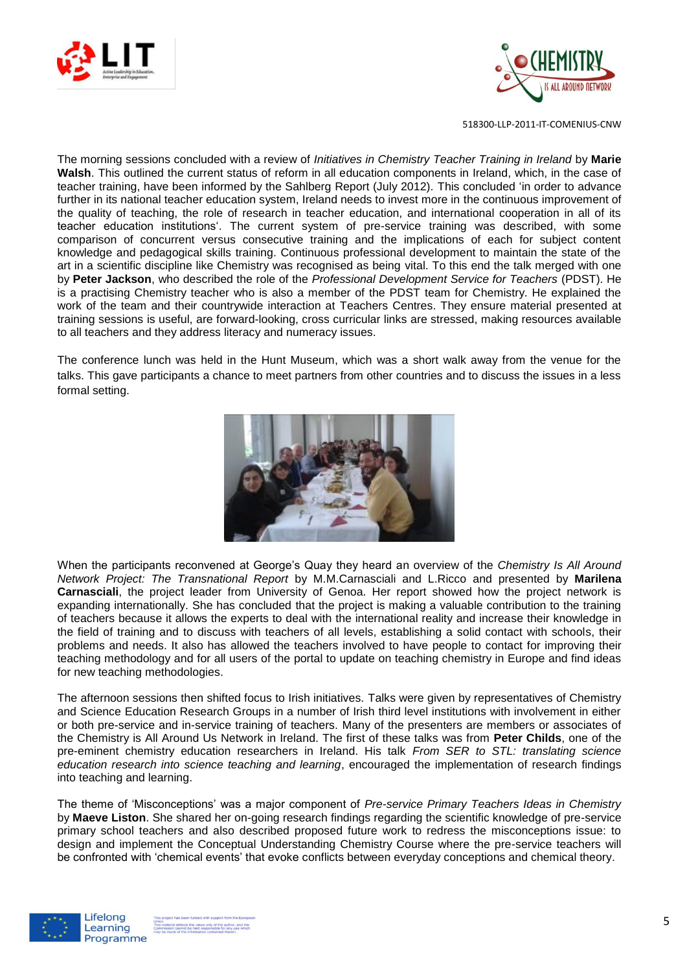



The morning sessions concluded with a review of *Initiatives in Chemistry Teacher Training in Ireland* by **Marie Walsh**. This outlined the current status of reform in all education components in Ireland, which, in the case of teacher training, have been informed by the Sahlberg Report (July 2012). This concluded 'in order to advance further in its national teacher education system, Ireland needs to invest more in the continuous improvement of the quality of teaching, the role of research in teacher education, and international cooperation in all of its teacher education institutions'. The current system of pre-service training was described, with some comparison of concurrent versus consecutive training and the implications of each for subject content knowledge and pedagogical skills training. Continuous professional development to maintain the state of the art in a scientific discipline like Chemistry was recognised as being vital. To this end the talk merged with one by **Peter Jackson**, who described the role of the *Professional Development Service for Teachers* (PDST). He is a practising Chemistry teacher who is also a member of the PDST team for Chemistry. He explained the work of the team and their countrywide interaction at Teachers Centres. They ensure material presented at training sessions is useful, are forward-looking, cross curricular links are stressed, making resources available to all teachers and they address literacy and numeracy issues.

The conference lunch was held in the Hunt Museum, which was a short walk away from the venue for the talks. This gave participants a chance to meet partners from other countries and to discuss the issues in a less formal setting.



When the participants reconvened at George's Quay they heard an overview of the *Chemistry Is All Around Network Project: The Transnational Report* by M.M.Carnasciali and L.Ricco and presented by **Marilena Carnasciali**, the project leader from University of Genoa. Her report showed how the project network is expanding internationally. She has concluded that the project is making a valuable contribution to the training of teachers because it allows the experts to deal with the international reality and increase their knowledge in the field of training and to discuss with teachers of all levels, establishing a solid contact with schools, their problems and needs. It also has allowed the teachers involved to have people to contact for improving their teaching methodology and for all users of the portal to update on teaching chemistry in Europe and find ideas for new teaching methodologies.

The afternoon sessions then shifted focus to Irish initiatives. Talks were given by representatives of Chemistry and Science Education Research Groups in a number of Irish third level institutions with involvement in either or both pre-service and in-service training of teachers. Many of the presenters are members or associates of the Chemistry is All Around Us Network in Ireland. The first of these talks was from **Peter Childs**, one of the pre-eminent chemistry education researchers in Ireland. His talk *From SER to STL: translating science education research into science teaching and learning*, encouraged the implementation of research findings into teaching and learning.

The theme of 'Misconceptions' was a major component of *Pre-service Primary Teachers Ideas in Chemistry* by **Maeve Liston**. She shared her on-going research findings regarding the scientific knowledge of pre-service primary school teachers and also described proposed future work to redress the misconceptions issue: to design and implement the Conceptual Understanding Chemistry Course where the pre-service teachers will be confronted with 'chemical events' that evoke conflicts between everyday conceptions and chemical theory.

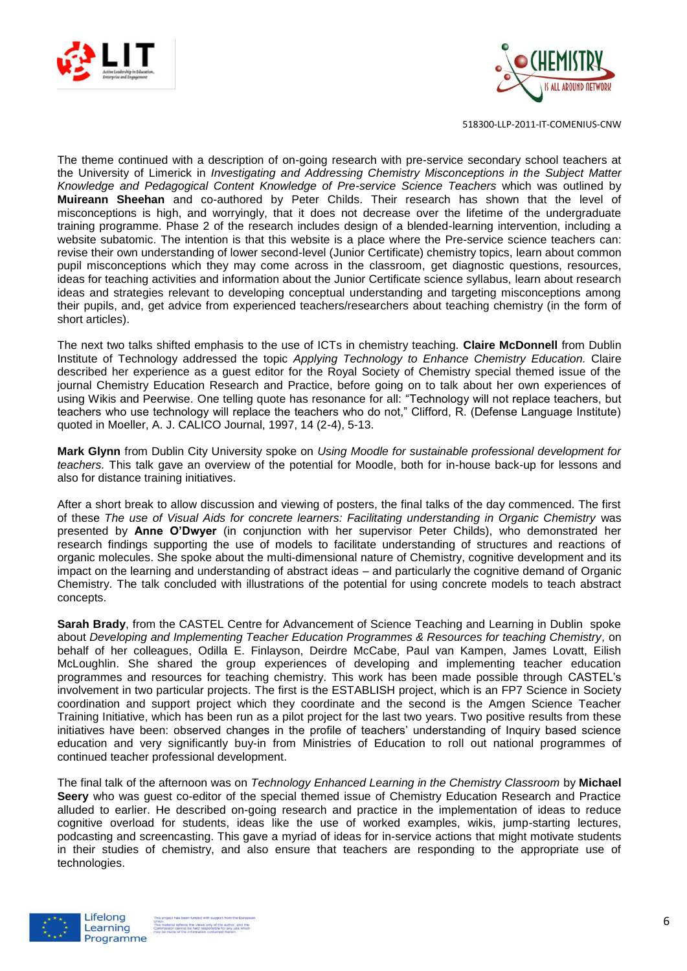



The theme continued with a description of on-going research with pre-service secondary school teachers at the University of Limerick in *Investigating and Addressing Chemistry Misconceptions in the Subject Matter Knowledge and Pedagogical Content Knowledge of Pre-service Science Teachers* which was outlined by **Muireann Sheehan** and co-authored by Peter Childs. Their research has shown that the level of misconceptions is high, and worryingly, that it does not decrease over the lifetime of the undergraduate training programme. Phase 2 of the research includes design of a blended-learning intervention, including a website subatomic. The intention is that this website is a place where the Pre-service science teachers can: revise their own understanding of lower second-level (Junior Certificate) chemistry topics, learn about common pupil misconceptions which they may come across in the classroom, get diagnostic questions, resources, ideas for teaching activities and information about the Junior Certificate science syllabus, learn about research ideas and strategies relevant to developing conceptual understanding and targeting misconceptions among their pupils, and, get advice from experienced teachers/researchers about teaching chemistry (in the form of short articles).

The next two talks shifted emphasis to the use of ICTs in chemistry teaching. **Claire McDonnell** from Dublin Institute of Technology addressed the topic *Applying Technology to Enhance Chemistry Education.* Claire described her experience as a guest editor for the Royal Society of Chemistry special themed issue of the journal Chemistry Education Research and Practice, before going on to talk about her own experiences of using Wikis and Peerwise. One telling quote has resonance for all: "Technology will not replace teachers, but teachers who use technology will replace the teachers who do not," Clifford, R. (Defense Language Institute) quoted in Moeller, A. J. CALICO Journal, 1997, 14 (2-4), 5-13.

**Mark Glynn** from Dublin City University spoke on *Using Moodle for sustainable professional development for teachers.* This talk gave an overview of the potential for Moodle, both for in-house back-up for lessons and also for distance training initiatives.

After a short break to allow discussion and viewing of posters, the final talks of the day commenced. The first of these *The use of Visual Aids for concrete learners: Facilitating understanding in Organic Chemistry* was presented by **Anne O'Dwyer** (in conjunction with her supervisor Peter Childs), who demonstrated her research findings supporting the use of models to facilitate understanding of structures and reactions of organic molecules. She spoke about the multi-dimensional nature of Chemistry, cognitive development and its impact on the learning and understanding of abstract ideas – and particularly the cognitive demand of Organic Chemistry. The talk concluded with illustrations of the potential for using concrete models to teach abstract concepts.

**Sarah Brady**, from the CASTEL Centre for Advancement of Science Teaching and Learning in Dublin spoke about *Developing and Implementing Teacher Education Programmes & Resources for teaching Chemistry,* on behalf of her colleagues, Odilla E. Finlayson, Deirdre McCabe, Paul van Kampen, James Lovatt, Eilish McLoughlin. She shared the group experiences of developing and implementing teacher education programmes and resources for teaching chemistry. This work has been made possible through CASTEL's involvement in two particular projects. The first is the ESTABLISH project, which is an FP7 Science in Society coordination and support project which they coordinate and the second is the Amgen Science Teacher Training Initiative, which has been run as a pilot project for the last two years. Two positive results from these initiatives have been: observed changes in the profile of teachers' understanding of Inquiry based science education and very significantly buy-in from Ministries of Education to roll out national programmes of continued teacher professional development.

The final talk of the afternoon was on *Technology Enhanced Learning in the Chemistry Classroom* by **Michael Seery** who was guest co-editor of the special themed issue of Chemistry Education Research and Practice alluded to earlier. He described on-going research and practice in the implementation of ideas to reduce cognitive overload for students, ideas like the use of worked examples, wikis, jump-starting lectures, podcasting and screencasting. This gave a myriad of ideas for in-service actions that might motivate students in their studies of chemistry, and also ensure that teachers are responding to the appropriate use of technologies.

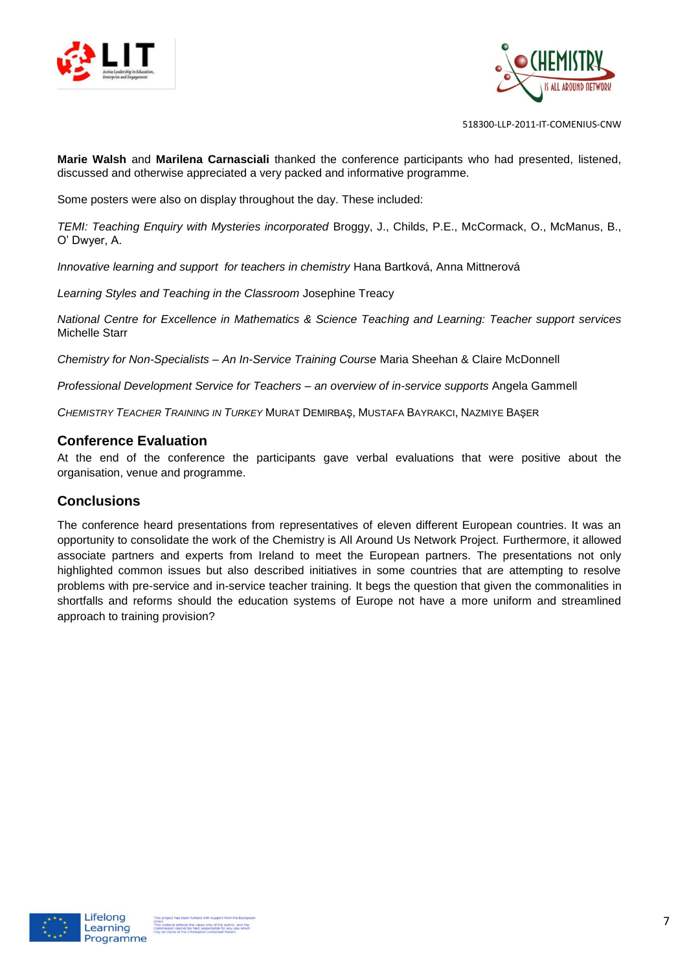



**Marie Walsh** and **Marilena Carnasciali** thanked the conference participants who had presented, listened, discussed and otherwise appreciated a very packed and informative programme.

Some posters were also on display throughout the day. These included:

*TEMI: Teaching Enquiry with Mysteries incorporated* Broggy, J., Childs, P.E., McCormack, O., McManus, B., O' Dwyer, A.

*Innovative learning and support for teachers in chemistry* Hana Bartková, Anna Mittnerová

*Learning Styles and Teaching in the Classroom* Josephine Treacy

*National Centre for Excellence in Mathematics & Science Teaching and Learning: Teacher support services* Michelle Starr

*Chemistry for Non-Specialists – An In-Service Training Course* Maria Sheehan & Claire McDonnell

*Professional Development Service for Teachers – an overview of in-service supports* Angela Gammell

*CHEMISTRY TEACHER TRAINING IN TURKEY* MURAT DEMIRBAŞ, MUSTAFA BAYRAKCI, NAZMIYE BAŞER

#### **Conference Evaluation**

At the end of the conference the participants gave verbal evaluations that were positive about the organisation, venue and programme.

#### **Conclusions**

The conference heard presentations from representatives of eleven different European countries. It was an opportunity to consolidate the work of the Chemistry is All Around Us Network Project. Furthermore, it allowed associate partners and experts from Ireland to meet the European partners. The presentations not only highlighted common issues but also described initiatives in some countries that are attempting to resolve problems with pre-service and in-service teacher training. It begs the question that given the commonalities in shortfalls and reforms should the education systems of Europe not have a more uniform and streamlined approach to training provision?

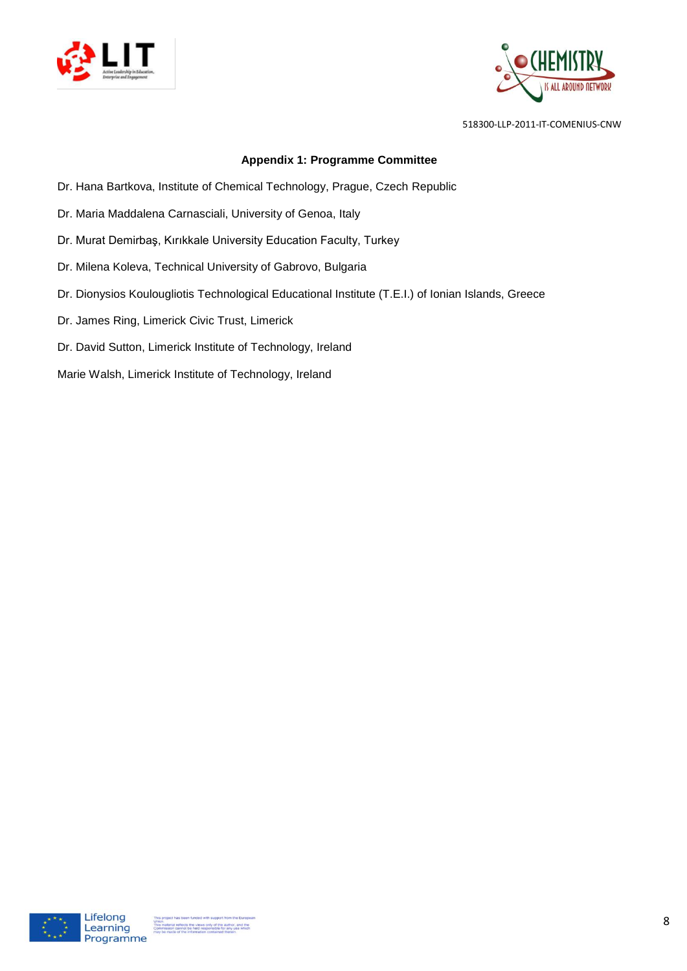



#### **Appendix 1: Programme Committee**

- Dr. Hana Bartkova, Institute of Chemical Technology, Prague, Czech Republic
- Dr. Maria Maddalena Carnasciali, University of Genoa, Italy
- Dr. Murat Demirbaş, Kırıkkale University Education Faculty, Turkey
- Dr. Milena Koleva, Technical University of Gabrovo, Bulgaria
- Dr. Dionysios Koulougliotis Technological Educational Institute (T.E.I.) of Ionian Islands, Greece
- Dr. James Ring, Limerick Civic Trust, Limerick
- Dr. David Sutton, Limerick Institute of Technology, Ireland
- Marie Walsh, Limerick Institute of Technology, Ireland

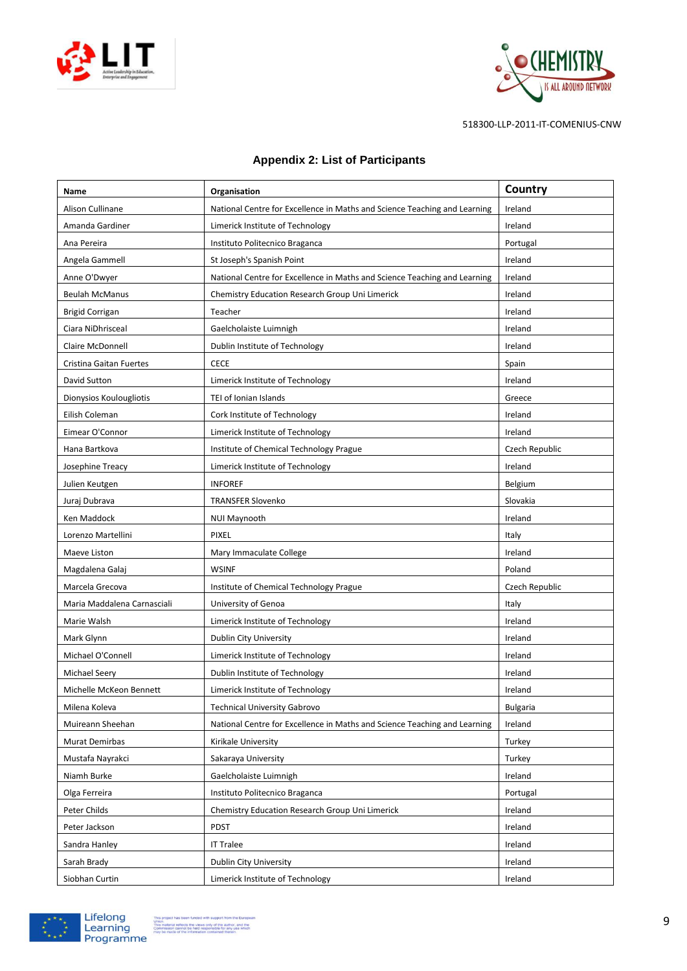



| Name                        | Organisation                                                              | Country         |
|-----------------------------|---------------------------------------------------------------------------|-----------------|
| Alison Cullinane            | National Centre for Excellence in Maths and Science Teaching and Learning | Ireland         |
| Amanda Gardiner             | Limerick Institute of Technology                                          | Ireland         |
| Ana Pereira                 | Instituto Politecnico Braganca                                            | Portugal        |
| Angela Gammell              | St Joseph's Spanish Point                                                 | Ireland         |
| Anne O'Dwyer                | National Centre for Excellence in Maths and Science Teaching and Learning | Ireland         |
| <b>Beulah McManus</b>       | Chemistry Education Research Group Uni Limerick                           | Ireland         |
| <b>Brigid Corrigan</b>      | Teacher                                                                   | Ireland         |
| Ciara NiDhrisceal           | Gaelcholaiste Luimnigh                                                    | Ireland         |
| Claire McDonnell            | Dublin Institute of Technology                                            | Ireland         |
| Cristina Gaitan Fuertes     | <b>CECE</b>                                                               | Spain           |
| David Sutton                | Limerick Institute of Technology                                          | Ireland         |
| Dionysios Koulougliotis     | TEI of Ionian Islands                                                     | Greece          |
| Eilish Coleman              | Cork Institute of Technology                                              | Ireland         |
| Eimear O'Connor             | Limerick Institute of Technology                                          | Ireland         |
| Hana Bartkova               | Institute of Chemical Technology Prague                                   | Czech Republic  |
| Josephine Treacy            | Limerick Institute of Technology                                          | Ireland         |
| Julien Keutgen              | <b>INFOREF</b>                                                            | Belgium         |
| Juraj Dubrava               | <b>TRANSFER Slovenko</b>                                                  | Slovakia        |
| Ken Maddock                 | <b>NUI Maynooth</b>                                                       | Ireland         |
| Lorenzo Martellini          | <b>PIXEL</b>                                                              | Italy           |
| Maeve Liston                | Mary Immaculate College                                                   | Ireland         |
| Magdalena Galaj             | <b>WSINF</b>                                                              | Poland          |
| Marcela Grecova             | Institute of Chemical Technology Prague                                   | Czech Republic  |
| Maria Maddalena Carnasciali | University of Genoa                                                       | Italy           |
| Marie Walsh                 | Limerick Institute of Technology                                          | Ireland         |
| Mark Glynn                  | Dublin City University                                                    | Ireland         |
| Michael O'Connell           | Limerick Institute of Technology                                          | Ireland         |
| Michael Seery               | Dublin Institute of Technology                                            | Ireland         |
| Michelle McKeon Bennett     | Limerick Institute of Technology                                          | Ireland         |
| Milena Koleva               | <b>Technical University Gabrovo</b>                                       | <b>Bulgaria</b> |
| Muireann Sheehan            | National Centre for Excellence in Maths and Science Teaching and Learning | Ireland         |
| Murat Demirbas              | Kirikale University                                                       | Turkey          |
| Mustafa Nayrakci            | Sakaraya University                                                       | Turkey          |
| Niamh Burke                 | Gaelcholaiste Luimnigh                                                    | Ireland         |
| Olga Ferreira               | Instituto Politecnico Braganca                                            | Portugal        |
| Peter Childs                | Chemistry Education Research Group Uni Limerick                           | Ireland         |
| Peter Jackson               | <b>PDST</b>                                                               | Ireland         |
| Sandra Hanley               | <b>IT Tralee</b>                                                          | Ireland         |
| Sarah Brady                 | Dublin City University                                                    | Ireland         |
| Siobhan Curtin              | Limerick Institute of Technology                                          | Ireland         |

#### **Appendix 2: List of Participants**

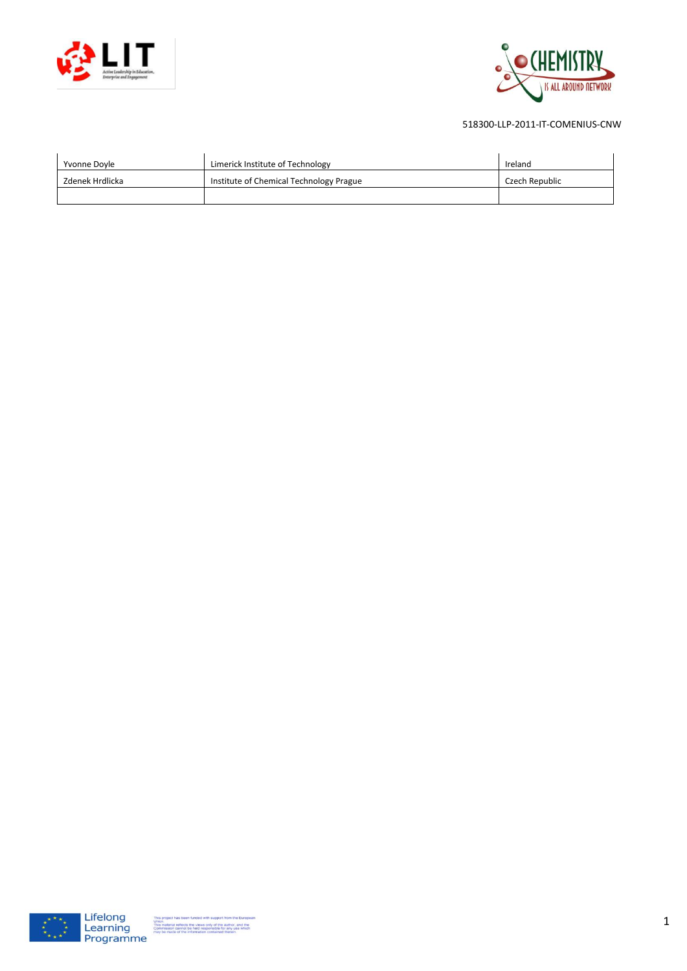



| Yvonne Doyle    | Limerick Institute of Technology        | Ireland        |
|-----------------|-----------------------------------------|----------------|
| Zdenek Hrdlicka | Institute of Chemical Technology Prague | Czech Republic |
|                 |                                         |                |

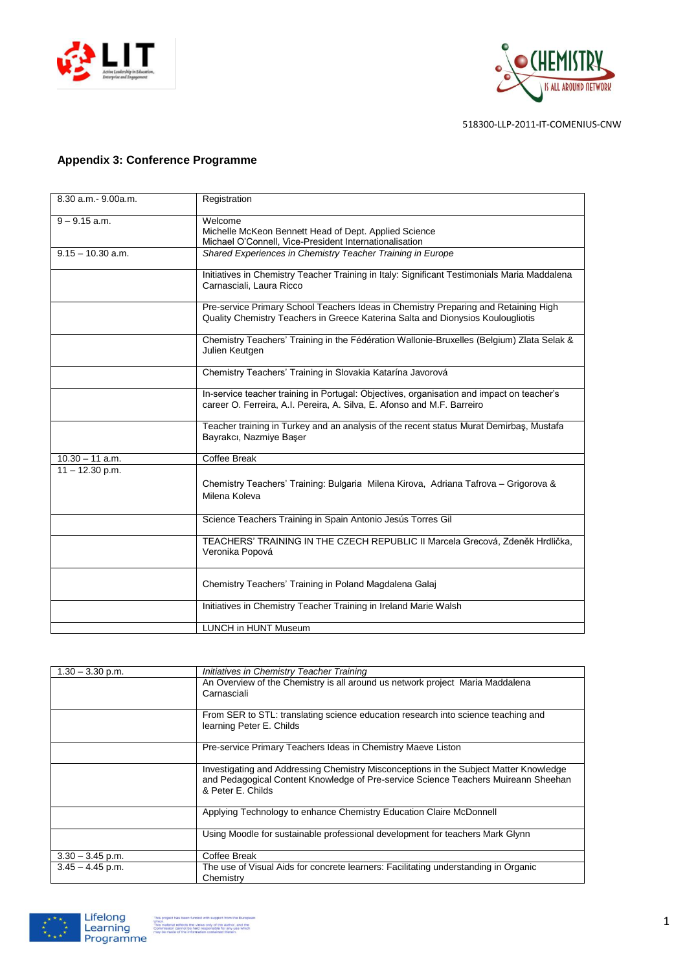



#### **Appendix 3: Conference Programme**

| 8.30 a.m. - 9.00a.m. | Registration                                                                                                                                                           |
|----------------------|------------------------------------------------------------------------------------------------------------------------------------------------------------------------|
| $9 - 9.15$ a.m.      | Welcome<br>Michelle McKeon Bennett Head of Dept. Applied Science<br>Michael O'Connell, Vice-President Internationalisation                                             |
| $9.15 - 10.30$ a.m.  | Shared Experiences in Chemistry Teacher Training in Europe                                                                                                             |
|                      | Initiatives in Chemistry Teacher Training in Italy: Significant Testimonials Maria Maddalena<br>Carnasciali, Laura Ricco                                               |
|                      | Pre-service Primary School Teachers Ideas in Chemistry Preparing and Retaining High<br>Quality Chemistry Teachers in Greece Katerina Salta and Dionysios Koulougliotis |
|                      | Chemistry Teachers' Training in the Fédération Wallonie-Bruxelles (Belgium) Zlata Selak &<br>Julien Keutgen                                                            |
|                      | Chemistry Teachers' Training in Slovakia Katarína Javorová                                                                                                             |
|                      | In-service teacher training in Portugal: Objectives, organisation and impact on teacher's<br>career O. Ferreira, A.I. Pereira, A. Silva, E. Afonso and M.F. Barreiro   |
|                      | Teacher training in Turkey and an analysis of the recent status Murat Demirbaş, Mustafa<br>Bayrakcı, Nazmiye Başer                                                     |
| $10.30 - 11$ a.m.    | <b>Coffee Break</b>                                                                                                                                                    |
| $11 - 12.30$ p.m.    | Chemistry Teachers' Training: Bulgaria Milena Kirova, Adriana Tafrova - Grigorova &<br>Milena Koleva                                                                   |
|                      | Science Teachers Training in Spain Antonio Jesús Torres Gil                                                                                                            |
|                      | TEACHERS' TRAINING IN THE CZECH REPUBLIC II Marcela Grecová, Zdeněk Hrdlička,<br>Veronika Popová                                                                       |
|                      | Chemistry Teachers' Training in Poland Magdalena Galaj                                                                                                                 |
|                      | Initiatives in Chemistry Teacher Training in Ireland Marie Walsh                                                                                                       |
|                      | <b>LUNCH in HUNT Museum</b>                                                                                                                                            |

| $1.30 - 3.30$ p.m. | Initiatives in Chemistry Teacher Training                                             |
|--------------------|---------------------------------------------------------------------------------------|
|                    | An Overview of the Chemistry is all around us network project Maria Maddalena         |
|                    | Carnasciali                                                                           |
|                    |                                                                                       |
|                    | From SER to STL: translating science education research into science teaching and     |
|                    | learning Peter E. Childs                                                              |
|                    |                                                                                       |
|                    | Pre-service Primary Teachers Ideas in Chemistry Maeve Liston                          |
|                    |                                                                                       |
|                    | Investigating and Addressing Chemistry Misconceptions in the Subject Matter Knowledge |
|                    | and Pedagogical Content Knowledge of Pre-service Science Teachers Muireann Sheehan    |
|                    | & Peter E. Childs                                                                     |
|                    |                                                                                       |
|                    | Applying Technology to enhance Chemistry Education Claire McDonnell                   |
|                    |                                                                                       |
|                    | Using Moodle for sustainable professional development for teachers Mark Glynn         |
|                    |                                                                                       |
| $3.30 - 3.45$ p.m. | Coffee Break                                                                          |
| $3.45 - 4.45$ p.m. | The use of Visual Aids for concrete learners: Facilitating understanding in Organic   |
|                    | Chemistry                                                                             |
|                    |                                                                                       |